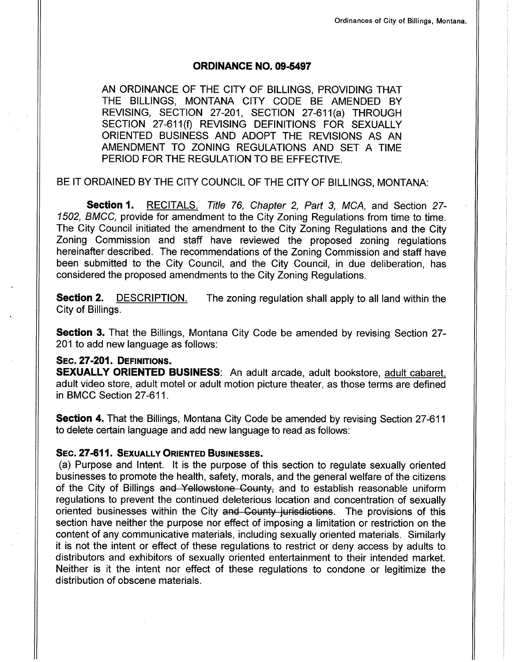## oRD|NANCE NO. 09-5497

AN ORDINANCE OF THE CITY OF BILLINGS, PROVIDING THAT THE BILLINGS, MONTANA CITY CODE BE AMENDED BY REVlSlNc, SECTION 27-201, SECTION 27-611(a) THROUGH SECTION 27-611(f) REVISING DEFINITIONS FOR SEXUALLY ORIENTED BUSINESS AND ADOPT THE REVISIONS AS AN AMENDMENT TO ZONING REGULATIONS AND SET A TIME PERIOD FOR THE REGULATION TO BE EFFECTIVE.

BE IT ORDAINED BY THE CITY COUNCIL OF THE CITY OF BILLINGS, MONTANA:

Section 1. RECITALS. Title 76, Chapter 2, Part 3, MCA, and Section 27-1502, BMCC, provide for amendment to the City Zoning Regulations from time to time. The City Council initiated the amendment to the City Zoning Regulations and the City Zoning Commission and staff have reviewed the proposed zoning regulations hereinafter described. The recommendations of the Zoning Commission and staff have been submitted to the City Council, and the City Council, in due deliberation, has considered the proposed amendments to the City Zoning Regulations.

**Section 2.** DESCRIPTION. The zoning regulation shall apply to all land within the City of Billings.

**Section 3.** That the Billings, Montana City Code be amended by revising Section 27-201 to add new language as follows:

## SEC. 27-201. DEFINITIONS.

SEXUALLY ORIENTED BUSINESS: An adult arcade, adult bookstore, adult cabaret, adult video store, adult motel or adult motion picture theater, as those terms are defined in BMCC Section 27-611.

**Section 4.** That the Billings, Montana City Code be amended by revising Section 27-611 to delete certain language and add new language to read as follows:

## SEC. 27-611. SEXUALLY ORIENTED BUSINESSES.

(a) Purpose and Intent. lt is the purpose of this section to regulate sexually oriented businesses to promote the health, safety, morals, and the general welfare of the citizens of the City of Billings and Yellowstone County, and to establish reasonable uniform regulations to prevent the continued deleterious location and concentration of sexually oriented businesses within the City and County jurisdictions. The provisions of this section have neither the purpose nor effect of imposing a limitation or restriction on the content of any communicative materials, including sexually oriented materials. Similarly it is not the intent or effect of these regulations to restrict or deny access by adults to distributors and exhibitors of sexually oriented entertainment to their intended market. Neither is it the intent nor effect of these regulations to condone or legitimize the distribution of obscene materials.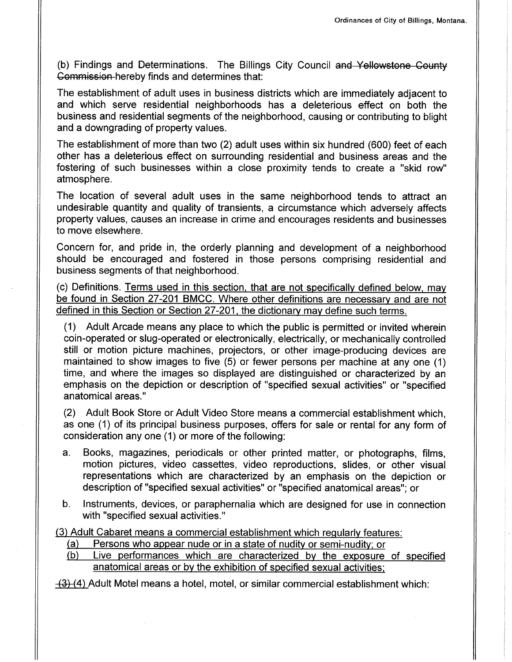(b) Findings and Determinations. The Billings City Council and Yellowstone County Gemmissien hereby finds and determines that:

The establishment of adult uses in business districts which are immediately adjacent to and which serve residential neighborhoods has a deleterious effect on both the business and residential segments of the neighborhood, causing or contributing to blight and a downgrading of property values.

The establishment of more than two (2) adult uses within six hundred (600) feet of each other has a deleterious effect on surrounding residential and business areas and the fostering of such businesses within a close proximity tends to create a "skid row" atmosphere.

The location of several adult uses in the same neighborhood tends to attract an undesirable quantity and quality of transients, a circumstance which adversely affects property values, causes an increase in crime and encourages residents and businesses to move elsewhere.

Concern for, and pride in, the orderly planning and development of a neighborhood should be encouraged and fostered in those persons comprising residential and business segments of that neighborhood.

(c) Definitions. Terms used in this section. that are not specificallv defined below, mav be found in Section 27-201 BMCC. Where other definitions are necessary and are not defined in this Section or Section 27-201, the dictionary mav define such terms.

(1) Adult Arcade means any place to which the public is permitted or invited wherein coin-operated or slug-operated or electronically, electrically, or mechanically controlled still or motion picture machines, projectors, or other image-producing devices are maintained to show images to five (5) or fewer persons per machine at any one (1) time, and where the images so displayed are distinguished or characterized by an emphasis on the depiction or description of "specified sexual activities" or "specified anatomical areas."

(2) Adult Book Store or Adult Video Store means a commercial establishment which, as one (1) of its principal business purposes, offers for sale or rental for any form of consideration any one (1) or more of the following:

- a. Books, magazines, periodicals or other printed matter, or photographs, films, motion pictures, video cassettes, video reproductions, slides, or other visual representations which are characterized by an emphasis on the depiction or description of "specified sexual activities" or "specified anatomical areas"; or
- b. lnstruments, devices, or paraphernalia which are designed for use in connection with "specified sexual activities."

(3) Adult Cabaret means a commercial establishment which reqularlv features: (a) Persons who appear nude or in a state of nudity or semi-nuditv: or (b) Live performances which are characterized bv the exposure of specified

- 
- anatomical areas or bv the exhibition of specified sexual activities:

 $\left(\frac{3}{4}\right)$  Adult Motel means a hotel, motel, or similar commercial establishment which: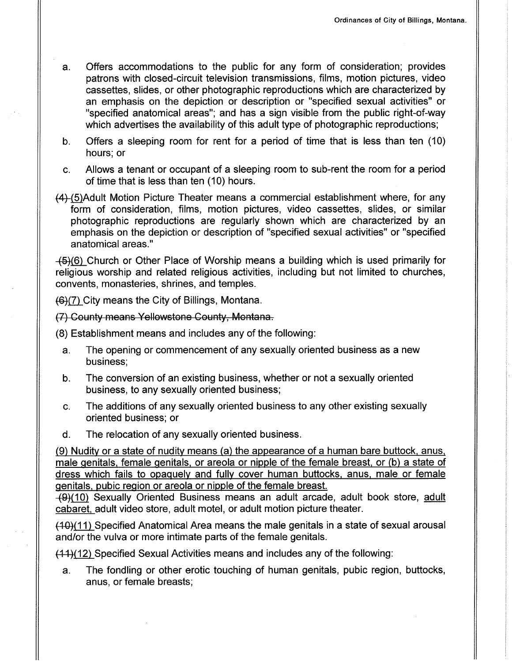- a. Offers accommodations to the public for any form of consideration; provides patrons with closed-circuit television transmissions, films, motion pictures, video cassettes, slides, or other photographic reproductions which are characterized by an emphasis on the depiction or description or "specified sexual activities" or "specified anatomical areas"; and has a sign visible from the public right-of-way which advertises the availability of this adult type of photographic reproductions;
- b. Offers a sleeping room for rent for a period of time that is less than ten (10) hours; or
- c. Allows a tenant or occupant of a sleeping room to sub-rent the room for a period of time that is less than ten (10) hours.
- $(4)$ -(5) Adult Motion Picture Theater means a commercial establishment where, for any form of consideration, films, motion pictures, video cassettes, slides, or similar photographic reproductions are regularly shown which are characterized by an emphasis on the depiction or description of "specified sexual activities" or "specified anatomical areas."

 $(45)$ (6) Church or Other Place of Worship means a building which is used primarily for religious worship and related religious activities, including but not limited to churches, convents, monasteries, shrines, and temples.

 $(6)(7)$  City means the City of Billings, Montana.

(7) Geunty means Yellewstene Ceunty; Mentana,

(8) Establishment means and includes any of the following:

- a. The opening or commencement of any sexually oriented business as a new business;
- b. The conversion of an existing business, whether or not a sexually oriented business, to any sexually oriented business;
- c. The additions of any sexually oriented business to any other existing sexually oriented business; or
- d. The relocation of any sexually oriented business.

(9) Nuditv or a state of nudity means (a) the appearance of a human bare buttock. anus, male genitals, female genitals, or areola or nipple of the female breast, or (b) a state of dress which fails to opaquelv and fully cover human buttocks, anus. male or female qenitals, pubic reqion or areola or nipple of the female breast.

 $+(9)(10)$  Sexually Oriented Business means an adult arcade, adult book store, adult cabaret. adult video store, adult motel, or adult motion picture theater.

 $(40)(11)$  Specified Anatomical Area means the male genitals in a state of sexual arousal and/or the vulva or more intimate parts of the female genitals.

 $(4.1)(12)$  Specified Sexual Activities means and includes any of the following:

a. The fondling or other erotic touching of human genitals, pubic region, buttocks, anus, or female breasts;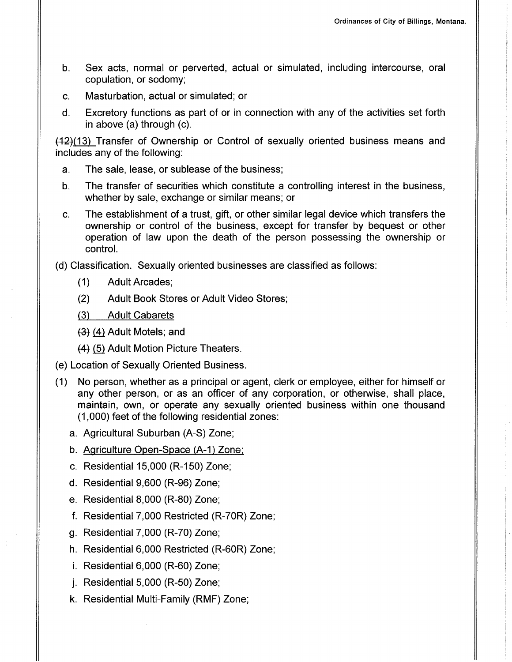- b. Sex acts, normal or perverted, actual or simulated, including intercourse, oral copulation, or sodomy;
- c. Masturbation, actual or simulated; or
- d. Excretory functions as part of or in connection with any of the activities set forth in above (a) through (c).

 $(42)(13)$  Transfer of Ownership or Control of sexually oriented business means and includes any of the following:

- a. The sale, lease, or sublease of the business;
- b. The transfer of securities which constitute a controlling interest in the business, whether by sale, exchange or similar means; or
- c. The establishment of a trust, gift, or other similar legal device which transfers the ownership or control of the business, except for transfer by bequest or other operation of law upon the death of the person possessing the ownershíp or control.

(d) Classification. Sexually oriented businesses are classified as follows:

- (1) Adult Arcades;
- (2) Adult Book Stores or Adult Video Stores;
- (3) Adult Cabarets
- (3) (4) Adult Motels; and
- (4) (5) Adult Motion Picture Theaters.
- (e) Location of Sexually Oriented Business.
- (1) No person, whether as a principal or agent, clerk or employee, either for himself or any other person, or as an officer of any corporation, or otherwise, shall place, maintain, own, or operate any sexually oriented business within one thousand (1,000) feet of the following residential zones:
	- a. Agricultural Suburban (A-S) Zone;
	- b. Agriculture Open-Space (A-1) Zone;
	- Residential 15,000 (R-150) Zone;
	- d. Residential 9,600 (R-96) Zone;
	- e. Residential 8,000 (R-80) Zone;
	- f. Residential 7,000 Restricted (R-70R) Zone;
	- g. Residential  $7,000$  (R-70) Zone;
	- h. Residential 6,000 Restricted (R-60R) Zone;
	- i. Residential  $6,000$  (R-60) Zone;
	- $i.$  Residential 5,000 (R-50) Zone;
	- Residential Multi-Family (RMF) Zone;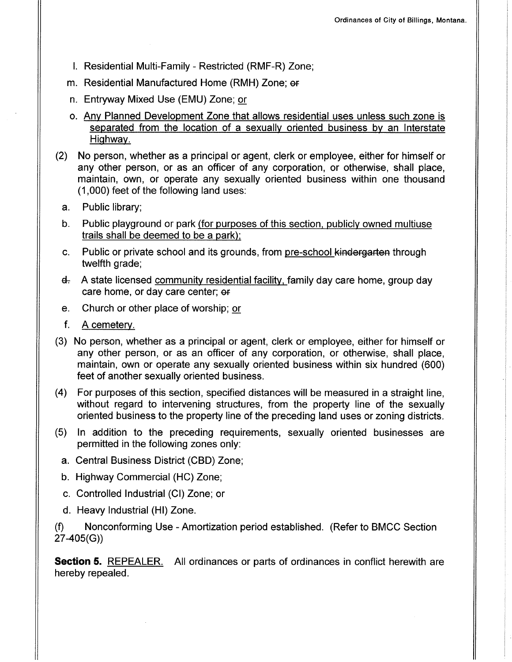- l. Residential Multi-Family Restricted (RMF-R) Zone;
- m. Residential Manufactured Home (RMH) Zone; er
- n. Entryway Mixed Use (EMU) Zone; or
- o. Any Planned Development Zone that allows residential uses unless such zone is separated from the location of a sexually oriented business by an Interstate Hiqhway.
- (2) No person, whether as a principal or agent, clerk or employee, either for himself or any other person, or as an officer of any corporation, or otherwise, shall place, maintain, own, or operate any sexually oriented business within one thousand (1,000) feet of the following land uses:
	- a. Public library;
	- b. Public playground or park (for purposes of this section. publiclv owned multiuse trails shall be deemed to be a park):
	- c. Public or private school and its grounds, from pre-school kindergarten through twelfth grade;
	- $\mathsf{d}_\tau$  A state licensed community residential facility, family day care home, group day care home, or day care center; or
	- e. Church or other place of worship; or
	- f. <sup>A</sup>cemetery.
- (3) No person, whether as a principal or agent, clerk or employee, either for himself or any other person, or as an officer of any corporation, or otherwise, shall place, maintain, own or operate any sexually oriented business within six hundred (600) feet of another sexually oriented business.
- (4) For purposes of this section, specified distances will be measured in a straight line, without regard to intervening structures, from the property line of the sexually oriented business to the property line of the preceding land uses or zoning districts.
- (5) ln addition to the preceding requirements, sexually oriented businesses are permitted in the following zones only:
	- a. Central Business District (CBD) Zone;
	- b. Highway Commercial (HC) Zone;
	- c. Controlled Industrial (Cl) Zone; or
	- d. Heavy Industrial (Hl) Zone.

(Ð Nonconforming Use - Amortization period established. (Refer to BMCC Section 27 -405(G))

**Section 5.** REPEALER. All ordinances or parts of ordinances in conflict herewith are hereby repealed.